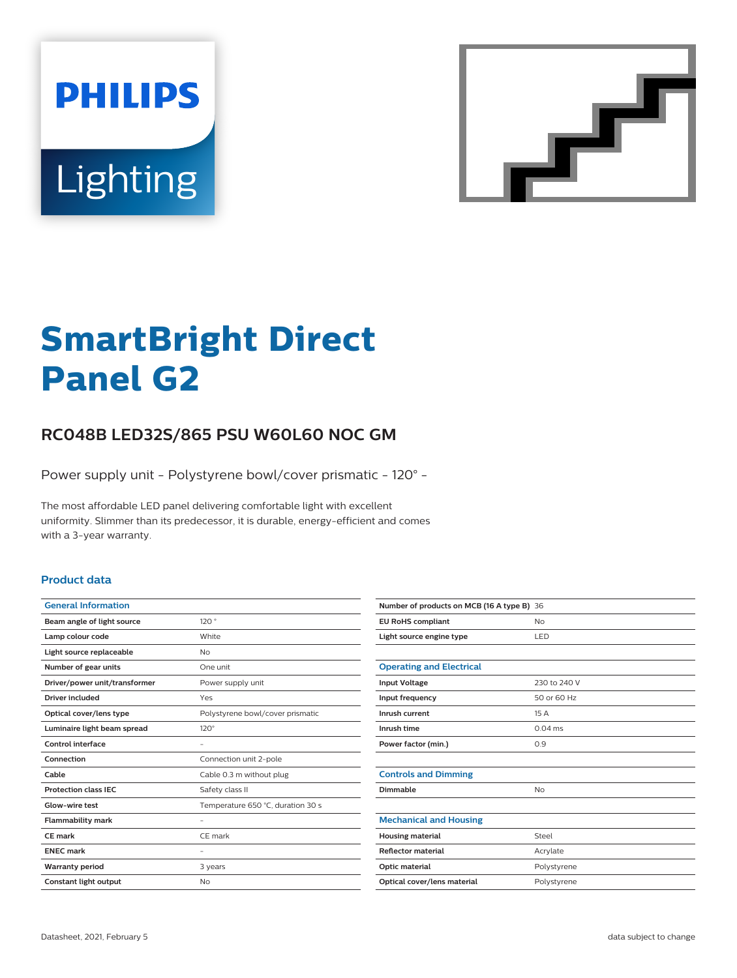



# **SmartBright Direct Panel G2**

## **RC048B LED32S/865 PSU W60L60 NOC GM**

Power supply unit - Polystyrene bowl/cover prismatic - 120° -

The most affordable LED panel delivering comfortable light with excellent uniformity. Slimmer than its predecessor, it is durable, energy-efficient and comes with a 3-year warranty.

#### **Product data**

| <b>General Information</b>    |                                   |
|-------------------------------|-----------------------------------|
| Beam angle of light source    | 120°                              |
| Lamp colour code              | White                             |
| Light source replaceable      | No                                |
| Number of gear units          | One unit                          |
| Driver/power unit/transformer | Power supply unit                 |
| Driver included               | Yes                               |
| Optical cover/lens type       | Polystyrene bowl/cover prismatic  |
| Luminaire light beam spread   | $120^\circ$                       |
| Control interface             |                                   |
| Connection                    | Connection unit 2-pole            |
| Cable                         | Cable 0.3 m without plug          |
| <b>Protection class IEC</b>   | Safety class II                   |
| Glow-wire test                | Temperature 650 °C, duration 30 s |
| <b>Flammability mark</b>      |                                   |
| <b>CE</b> mark                | CE mark                           |
| <b>ENEC mark</b>              |                                   |
| <b>Warranty period</b>        | 3 years                           |
| Constant light output         | No                                |
|                               |                                   |

| Number of products on MCB (16 A type B) 36 |              |
|--------------------------------------------|--------------|
| <b>EU RoHS compliant</b>                   | <b>No</b>    |
| Light source engine type                   | LED          |
|                                            |              |
| <b>Operating and Electrical</b>            |              |
| <b>Input Voltage</b>                       | 230 to 240 V |
| Input frequency                            | 50 or 60 Hz  |
| Inrush current                             | 15A          |
| Inrush time                                | $0.04$ ms    |
| Power factor (min.)                        | 0.9          |
|                                            |              |
| <b>Controls and Dimming</b>                |              |
| Dimmable                                   | No           |
|                                            |              |
| <b>Mechanical and Housing</b>              |              |
| <b>Housing material</b>                    | Steel        |
| <b>Reflector material</b>                  | Acrylate     |
| Optic material                             | Polystyrene  |
| Optical cover/lens material                | Polystyrene  |
|                                            |              |